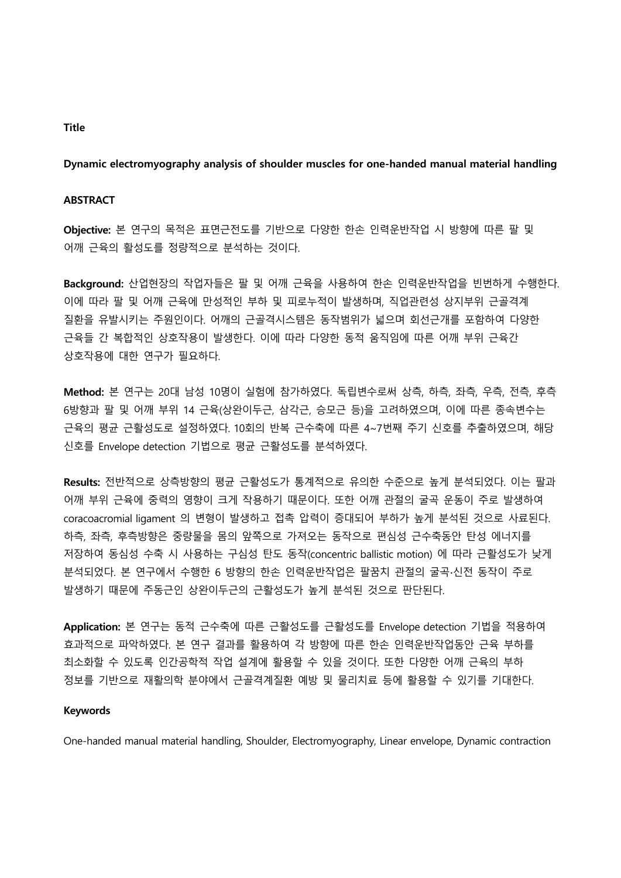### **Dynamic electromyography analysis of shoulder muscles for one-handed manual material handling**

### **ABSTRACT**

**Objective:** 본 연구의 목적은 표면근전도를 기반으로 다양한 한손 인력운반작업 시 방향에 따른 팔 및 어깨 근육의 활성도를 정량적으로 분석하는 것이다.

**Background:** 산업현장의 작업자들은 팔 및 어깨 근육을 사용하여 한손 인력운반작업을 빈번하게 수행한다. 이에 따라 팔 및 어깨 근육에 만성적인 부하 및 피로누적이 발생하며, 직업관련성 상지부위 근골격계 질환을 유발시키는 주원인이다. 어깨의 근골격시스템은 동작범위가 넓으며 회선근개를 포함하여 다양한 근육들 간 복합적인 상호작용이 발생한다. 이에 따라 다양한 동적 움직임에 따른 어깨 부위 근육간 상호작용에 대한 연구가 필요하다.

**Method:** 본 연구는 20대 남성 10명이 실험에 참가하였다. 독립변수로써 상측, 하측, 좌측, 우측, 전측, 후측 6방향과 팔 및 어깨 부위 14 근육(상완이두근, 삼각근, 승모근 등)을 고려하였으며, 이에 따른 종속변수는 근육의 평균 근활성도로 설정하였다. 10회의 반복 근수축에 따른 4~7번째 주기 신호를 추출하였으며, 해당 신호를 Envelope detection 기법으로 평균 근활성도를 분석하였다.

**Results:** 전반적으로 상측방향의 평균 근활성도가 통계적으로 유의한 수준으로 높게 분석되었다. 이는 팔과 어깨 부위 근육에 중력의 영향이 크게 작용하기 때문이다. 또한 어깨 관절의 굴곡 운동이 주로 발생하여 coracoacromial ligament 의 변형이 발생하고 접촉 압력이 증대되어 부하가 높게 분석된 것으로 사료된다. 하측, 좌측, 후측방향은 중량물을 몸의 앞쪽으로 가져오는 동작으로 편심성 근수축동안 탄성 에너지를 저장하여 동심성 수축 시 사용하는 구심성 탄도 동작(concentric ballistic motion) 에 따라 근활성도가 낮게 분석되었다. 본 연구에서 수행한 6 방향의 한손 인력운반작업은 팔꿈치 관절의 굴곡∙신전 동작이 주로 발생하기 때문에 주동근인 상완이두근의 근활성도가 높게 분석된 것으로 판단된다.

**Application:** 본 연구는 동적 근수축에 따른 근활성도를 근활성도를 Envelope detection 기법을 적용하여 효과적으로 파악하였다. 본 연구 결과를 활용하여 각 방향에 따른 한손 인력운반작업동안 근육 부하를 최소화할 수 있도록 인간공학적 작업 설계에 활용할 수 있을 것이다. 또한 다양한 어깨 근육의 부하 정보를 기반으로 재활의학 분야에서 근골격계질환 예방 및 물리치료 등에 활용할 수 있기를 기대한다.

#### **Keywords**

One-handed manual material handling, Shoulder, Electromyography, Linear envelope, Dynamic contraction

#### **Title**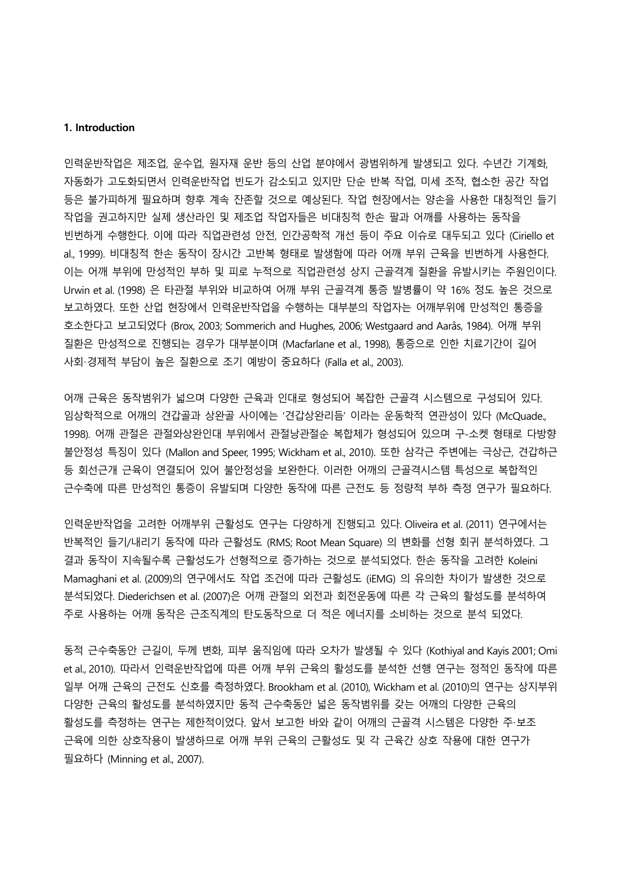#### **1. Introduction**

인력운반작업은 제조업, 운수업, 원자재 운반 등의 산업 분야에서 광범위하게 발생되고 있다. 수년간 기계화, 자동화가 고도화되면서 인력운반작업 빈도가 감소되고 있지만 단순 반복 작업, 미세 조작, 협소한 공간 작업 등은 불가피하게 필요하며 향후 계속 잔존할 것으로 예상된다. 작업 현장에서는 양손을 사용한 대칭적인 들기 작업을 권고하지만 실제 생산라인 및 제조업 작업자들은 비대칭적 한손 팔과 어깨를 사용하는 동작을 빈번하게 수행한다. 이에 따라 직업관련성 안전, 인간공학적 개선 등이 주요 이슈로 대두되고 있다 (Ciriello et al., 1999). 비대칭적 한손 동작이 장시간 고반복 형태로 발생함에 따라 어깨 부위 근육을 빈번하게 사용한다. 이는 어깨 부위에 만성적인 부하 및 피로 누적으로 직업관련성 상지 근골격계 질환을 유발시키는 주원인이다. Urwin et al. (1998) 은 타관절 부위와 비교하여 어깨 부위 근골격계 통증 발병률이 약 16% 정도 높은 것으로 보고하였다. 또한 산업 현장에서 인력운반작업을 수행하는 대부분의 작업자는 어깨부위에 만성적인 통증을 호소한다고 보고되었다 (Brox, 2003; Sommerich and Hughes, 2006; Westgaard and Aarås, 1984). 어깨 부위 질환은 만성적으로 진행되는 경우가 대부분이며 (Macfarlane et al., 1998), 통증으로 인한 치료기간이 길어 사회·경제적 부담이 높은 질환으로 조기 예방이 중요하다 (Falla et al., 2003).

어깨 근육은 동작범위가 넓으며 다양한 근육과 인대로 형성되어 복잡한 근골격 시스템으로 구성되어 있다. 임상학적으로 어깨의 견갑골과 상완골 사이에는 '견갑상완리듬' 이라는 운동학적 연관성이 있다 (McQuade., 1998). 어깨 관절은 관절와상완인대 부위에서 관절낭관절순 복합체가 형성되어 있으며 구-소켓 형태로 다방향 불안정성 특징이 있다 (Mallon and Speer, 1995; Wickham et al., 2010). 또한 삼각근 주변에는 극상근, 견갑하근 등 회선근개 근육이 연결되어 있어 불안정성을 보완한다. 이러한 어깨의 근골격시스템 특성으로 복합적인 근수축에 따른 만성적인 통증이 유발되며 다양한 동작에 따른 근전도 등 정량적 부하 측정 연구가 필요하다.

인력운반작업을 고려한 어깨부위 근활성도 연구는 다양하게 진행되고 있다. Oliveira et al. (2011) 연구에서는 반복적인 들기/내리기 동작에 따라 근활성도 (RMS; Root Mean Square) 의 변화를 선형 회귀 분석하였다. 그 결과 동작이 지속될수록 근활성도가 선형적으로 증가하는 것으로 분석되었다. 한손 동작을 고려한 Koleini Mamaghani et al. (2009)의 연구에서도 작업 조건에 따라 근활성도 (iEMG) 의 유의한 차이가 발생한 것으로 분석되었다. Diederichsen et al. (2007)은 어깨 관절의 외전과 회전운동에 따른 각 근육의 활성도를 분석하여 주로 사용하는 어깨 동작은 근조직계의 탄도동작으로 더 적은 에너지를 소비하는 것으로 분석 되었다.

동적 근수축동안 근길이, 두께 변화, 피부 움직임에 따라 오차가 발생될 수 있다 (Kothiyal and Kayis 2001; Omi et al., 2010). 따라서 인력운반작업에 따른 어깨 부위 근육의 활성도를 분석한 선행 연구는 정적인 동작에 따른 일부 어깨 근육의 근전도 신호를 측정하였다. Brookham et al. (2010), Wickham et al. (2010)의 연구는 상지부위 다양한 근육의 활성도를 분석하였지만 동적 근수축동안 넓은 동작범위를 갖는 어깨의 다양한 근육의 활성도를 측정하는 연구는 제한적이었다. 앞서 보고한 바와 같이 어깨의 근골격 시스템은 다양한 주·보조 근육에 의한 상호작용이 발생하므로 어깨 부위 근육의 근활성도 및 각 근육간 상호 작용에 대한 연구가 필요하다 (Minning et al., 2007).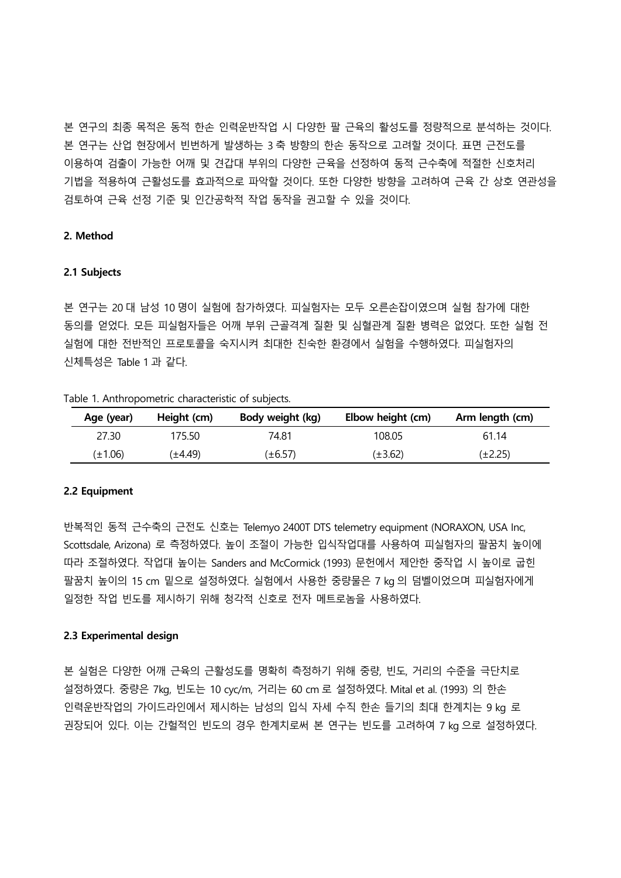본 연구의 최종 목적은 동적 한손 인력운반작업 시 다양한 팔 근육의 활성도를 정량적으로 분석하는 것이다. 본 연구는 산업 현장에서 빈번하게 발생하는 3 축 방향의 한손 동작으로 고려할 것이다. 표면 근전도를 이용하여 검출이 가능한 어깨 및 견갑대 부위의 다양한 근육을 선정하여 동적 근수축에 적절한 신호처리 기법을 적용하여 근활성도를 효과적으로 파악할 것이다. 또한 다양한 방향을 고려하여 근육 간 상호 연관성을 검토하여 근육 선정 기준 및 인간공학적 작업 동작을 권고할 수 있을 것이다.

# **2. Method**

#### **2.1 Subjects**

본 연구는 20 대 남성 10 명이 실험에 참가하였다. 피실험자는 모두 오른손잡이였으며 실험 참가에 대한 동의를 얻었다. 모든 피실험자들은 어깨 부위 근골격계 질환 및 심혈관계 질환 병력은 없었다. 또한 실험 전 실험에 대한 전반적인 프로토콜을 숙지시켜 최대한 친숙한 환경에서 실험을 수행하였다. 피실험자의 신체특성은 Table 1 과 같다.

| Table 1. Anthropometric characteristic of subjects. |  |  |  |  |  |  |
|-----------------------------------------------------|--|--|--|--|--|--|
|-----------------------------------------------------|--|--|--|--|--|--|

| Age (year) | Height (cm) | Body weight (kg) | Elbow height (cm) | Arm length (cm) |
|------------|-------------|------------------|-------------------|-----------------|
| 27.30      | 175.50      | 74.81            | 108.05            | 61.14           |
| (±1.06)    | (±4.49)     | (±6.57)          | (±3.62)           | (±2.25)         |

#### **2.2 Equipment**

반복적인 동적 근수축의 근전도 신호는 Telemyo 2400T DTS telemetry equipment (NORAXON, USA Inc, Scottsdale, Arizona) 로 측정하였다. 높이 조절이 가능한 입식작업대를 사용하여 피실험자의 팔꿈치 높이에 따라 조절하였다. 작업대 높이는 Sanders and McCormick (1993) 문헌에서 제안한 중작업 시 높이로 굽힌 팔꿈치 높이의 15 cm 밑으로 설정하였다. 실험에서 사용한 중량물은 7 kg 의 덤벨이었으며 피실험자에게 일정한 작업 빈도를 제시하기 위해 청각적 신호로 전자 메트로놈을 사용하였다.

### **2.3 Experimental design**

본 실험은 다양한 어깨 근육의 근활성도를 명확히 측정하기 위해 중량, 빈도, 거리의 수준을 극단치로 설정하였다. 중량은 7kg, 빈도는 10 cyc/m, 거리는 60 cm 로 설정하였다. Mital et al. (1993) 의 한손 인력운반작업의 가이드라인에서 제시하는 남성의 입식 자세 수직 한손 들기의 최대 한계치는 9 kg 로 권장되어 있다. 이는 간헐적인 빈도의 경우 한계치로써 본 연구는 빈도를 고려하여 7 kg 으로 설정하였다.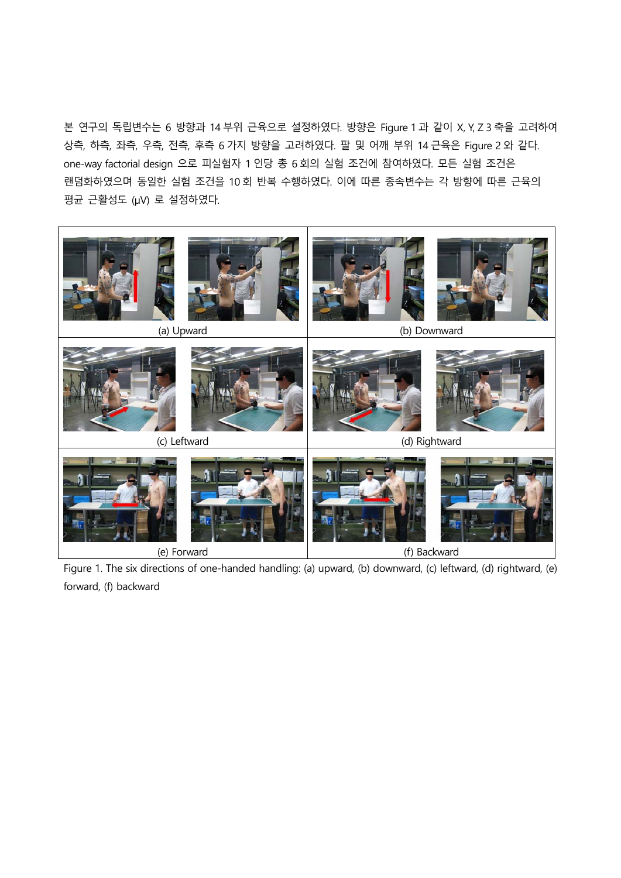본 연구의 독립변수는 6 방향과 14 부위 근육으로 설정하였다. 방향은 Figure 1 과 같이 X, Y, Z 3 축을 고려하여 상측, 하측, 좌측, 우측, 전측, 후측 6 가지 방향을 고려하였다. 팔 및 어깨 부위 14 근육은 Figure 2 와 같다. one-way factorial design 으로 피실험자 1 인당 총 6 회의 실험 조건에 참여하였다. 모든 실험 조건은 랜덤화하였으며 동일한 실험 조건을 10 회 반복 수행하였다. 이에 따른 종속변수는 각 방향에 따른 근육의 평균 근활성도 (μV) 로 설정하였다.



Figure 1. The six directions of one-handed handling: (a) upward, (b) downward, (c) leftward, (d) rightward, (e) forward, (f) backward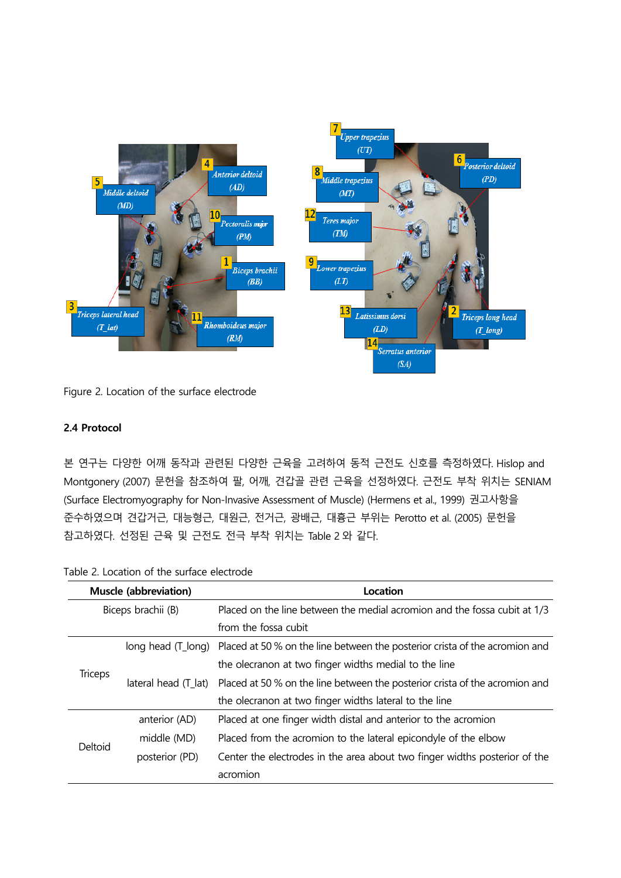

Figure 2. Location of the surface electrode

# **2.4 Protocol**

본 연구는 다양한 어깨 동작과 관련된 다양한 근육을 고려하여 동적 근전도 신호를 측정하였다. Hislop and Montgonery (2007) 문헌을 참조하여 팔, 어깨, 견갑골 관련 근육을 선정하였다. 근전도 부착 위치는 SENIAM (Surface Electromyography for Non-Invasive Assessment of Muscle) (Hermens et al., 1999) 권고사항을 준수하였으며 견갑거근, 대능형근, 대원근, 전거근, 광배근, 대흉근 부위는 Perotto et al. (2005) 문헌을 참고하였다. 선정된 근육 및 근전도 전극 부착 위치는 Table 2 와 같다.

| <b>Muscle (abbreviation)</b> |                      | Location                                                                    |  |  |
|------------------------------|----------------------|-----------------------------------------------------------------------------|--|--|
| Biceps brachii (B)           |                      | Placed on the line between the medial acromion and the fossa cubit at 1/3   |  |  |
|                              |                      | from the fossa cubit                                                        |  |  |
|                              | long head (T_long)   | Placed at 50 % on the line between the posterior crista of the acromion and |  |  |
| <b>Triceps</b>               |                      | the olecranon at two finger widths medial to the line                       |  |  |
|                              | lateral head (T_lat) | Placed at 50 % on the line between the posterior crista of the acromion and |  |  |
|                              |                      | the olecranon at two finger widths lateral to the line                      |  |  |
| Deltoid                      | anterior (AD)        | Placed at one finger width distal and anterior to the acromion              |  |  |
|                              | middle (MD)          | Placed from the acromion to the lateral epicondyle of the elbow             |  |  |
|                              | posterior (PD)       | Center the electrodes in the area about two finger widths posterior of the  |  |  |
|                              |                      | acromion                                                                    |  |  |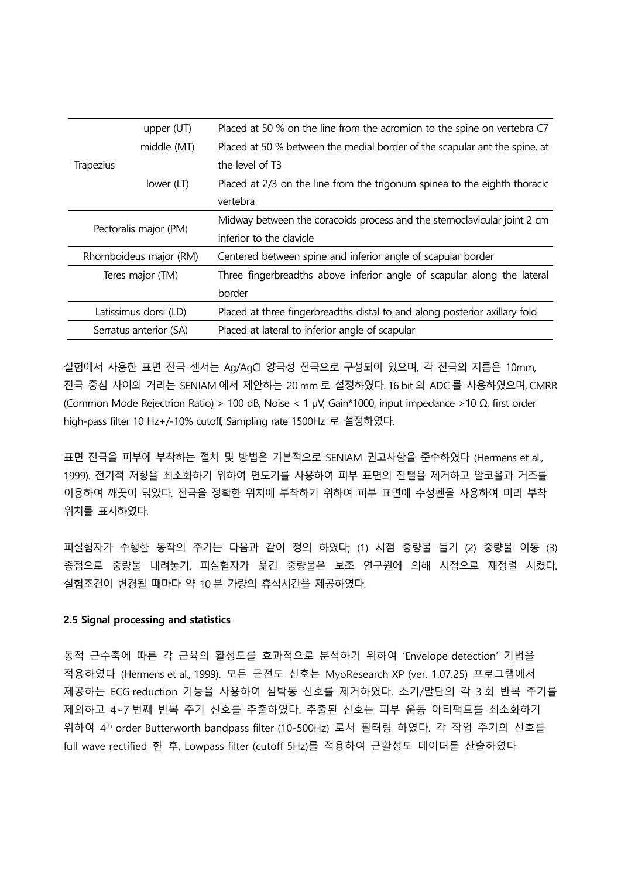|                        | upper $(UT)$          | Placed at 50 % on the line from the acromion to the spine on vertebra C7   |
|------------------------|-----------------------|----------------------------------------------------------------------------|
|                        | middle (MT)           | Placed at 50 % between the medial border of the scapular ant the spine, at |
| Trapezius              |                       | the level of T3                                                            |
|                        | lower (LT)            | Placed at 2/3 on the line from the trigonum spinea to the eighth thoracic  |
|                        |                       | vertebra                                                                   |
| Pectoralis major (PM)  |                       | Midway between the coracoids process and the sternoclavicular joint 2 cm   |
|                        |                       | inferior to the clavicle                                                   |
| Rhomboideus major (RM) |                       | Centered between spine and inferior angle of scapular border               |
| Teres major (TM)       |                       | Three fingerbreadths above inferior angle of scapular along the lateral    |
|                        |                       | border                                                                     |
|                        | Latissimus dorsi (LD) | Placed at three fingerbreadths distal to and along posterior axillary fold |
| Serratus anterior (SA) |                       | Placed at lateral to inferior angle of scapular                            |

실험에서 사용한 표면 전극 센서는 Ag/AgCl 양극성 전극으로 구성되어 있으며, 각 전극의 지름은 10mm, 전극 중심 사이의 거리는 SENIAM 에서 제안하는 20 mm 로 설정하였다. 16 bit 의 ADC 를 사용하였으며, CMRR (Common Mode Rejectrion Ratio) > 100 dB, Noise < 1 μV, Gain\*1000, input impedance >10 Ω, first order high-pass filter 10 Hz+/-10% cutoff, Sampling rate 1500Hz 로 설정하였다.

표면 전극을 피부에 부착하는 절차 및 방법은 기본적으로 SENIAM 권고사항을 준수하였다 (Hermens et al., 1999). 전기적 저항을 최소화하기 위하여 면도기를 사용하여 피부 표면의 잔털을 제거하고 알코올과 거즈를 이용하여 깨끗이 닦았다. 전극을 정확한 위치에 부착하기 위하여 피부 표면에 수성펜을 사용하여 미리 부착 위치를 표시하였다.

피실험자가 수행한 동작의 주기는 다음과 같이 정의 하였다; (1) 시점 중량물 들기 (2) 중량물 이동 (3) 종점으로 중량물 내려놓기. 피실험자가 옮긴 중량물은 보조 연구원에 의해 시점으로 재정렬 시켰다. 실험조건이 변경될 때마다 약 10 분 가량의 휴식시간을 제공하였다.

#### **2.5 Signal processing and statistics**

동적 근수축에 따른 각 근육의 활성도를 효과적으로 분석하기 위하여 'Envelope detection' 기법을 적용하였다 (Hermens et al., 1999). 모든 근전도 신호는 MyoResearch XP (ver. 1.07.25) 프로그램에서 제공하는 ECG reduction 기능을 사용하여 심박동 신호를 제거하였다. 초기/말단의 각 3 회 반복 주기를 제외하고 4~7 번째 반복 주기 신호를 추출하였다. 추출된 신호는 피부 운동 아티팩트를 최소화하기 위하여 4th order Butterworth bandpass filter (10-500Hz) 로서 필터링 하였다. 각 작업 주기의 신호를 full wave rectified 한 후, Lowpass filter (cutoff 5Hz)를 적용하여 근활성도 데이터를 산출하였다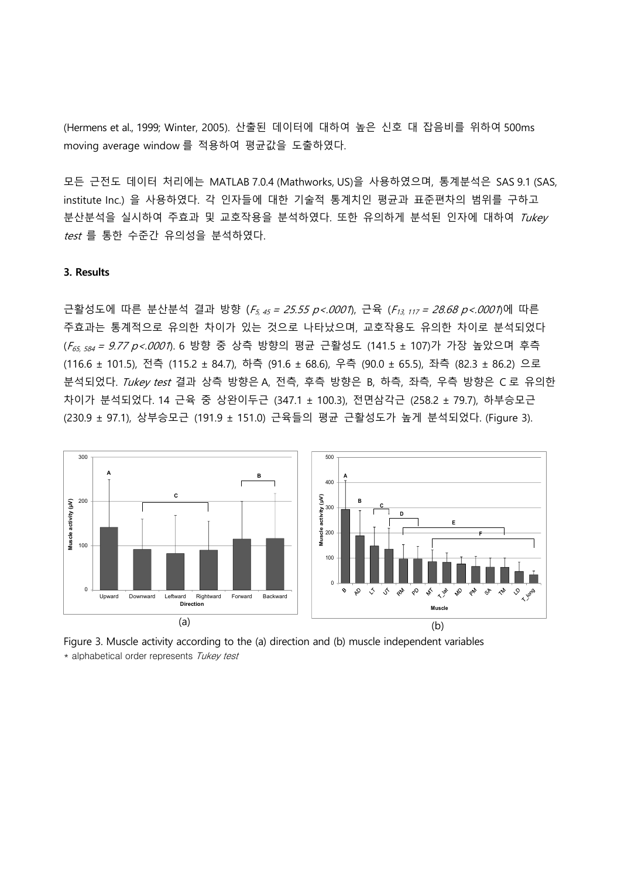(Hermens et al., 1999; Winter, 2005). 산출된 데이터에 대하여 높은 신호 대 잡음비를 위하여 500ms moving average window 를 적용하여 평균값을 도출하였다.

모든 근전도 데이터 처리에는 MATLAB 7.0.4 (Mathworks, US)을 사용하였으며, 통계분석은 SAS 9.1 (SAS, institute Inc.) 을 사용하였다. 각 인자들에 대한 기술적 통계치인 평균과 표준편차의 범위를 구하고 분산분석을 실시하여 주효과 및 교호작용을 분석하였다. 또한 유의하게 분석된 인자에 대하여 Tukey test 를 통한 수준간 유의성을 분석하였다.

### **3. Results**

근활성도에 따른 분산분석 결과 방향 (F<sub>5, 45</sub> = 25.55 p <.0001), 근육 (F<sub>13, 117</sub> = 28.68 p <.0001)에 따른 주효과는 통계적으로 유의한 차이가 있는 것으로 나타났으며, 교호작용도 유의한 차이로 분석되었다 (F65, 584 = 9.77 p<.0001). 6 방향 중 상측 방향의 평균 근활성도 (141.5 ± 107)가 가장 높았으며 후측 (116.6 ± 101.5), 전측 (115.2 ± 84.7), 하측 (91.6 ± 68.6), 우측 (90.0 ± 65.5), 좌측 (82.3 ± 86.2) 으로 분석되었다. Tukey test 결과 상측 방향은 A, 전측, 후측 방향은 B, 하측, 좌측, 우측 방향은 C 로 유의한 차이가 분석되었다. 14 근육 중 상완이두근 (347.1 ± 100.3), 전면삼각근 (258.2 ± 79.7), 하부승모근 (230.9 ± 97.1), 상부승모근 (191.9 ± 151.0) 근육들의 평균 근활성도가 높게 분석되었다. (Figure 3).



Figure 3. Muscle activity according to the (a) direction and (b) muscle independent variables \* alphabetical order represents Tukey test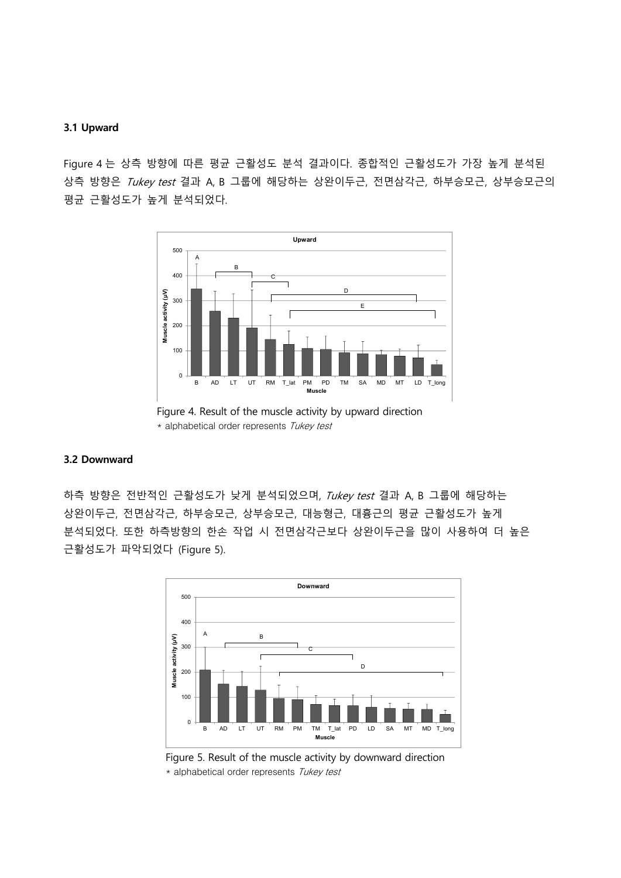### **3.1 Upward**

Figure 4 는 상측 방향에 따른 평균 근활성도 분석 결과이다. 종합적인 근활성도가 가장 높게 분석된 상측 방향은 Tukey test 결과 A, B 그룹에 해당하는 상완이두근, 전면삼각근, 하부승모근, 상부승모근의 평균 근활성도가 높게 분석되었다.



Figure 4. Result of the muscle activity by upward direction \* alphabetical order represents Tukey test

#### **3.2 Downward**

하측 방향은 전반적인 근활성도가 낮게 분석되었으며, Tukey test 결과 A, B 그룹에 해당하는 상완이두근, 전면삼각근, 하부승모근, 상부승모근, 대능형근, 대흉근의 평균 근활성도가 높게 분석되었다. 또한 하측방향의 한손 작업 시 전면삼각근보다 상완이두근을 많이 사용하여 더 높은 근활성도가 파악되었다 (Figure 5).



Figure 5. Result of the muscle activity by downward direction \* alphabetical order represents Tukey test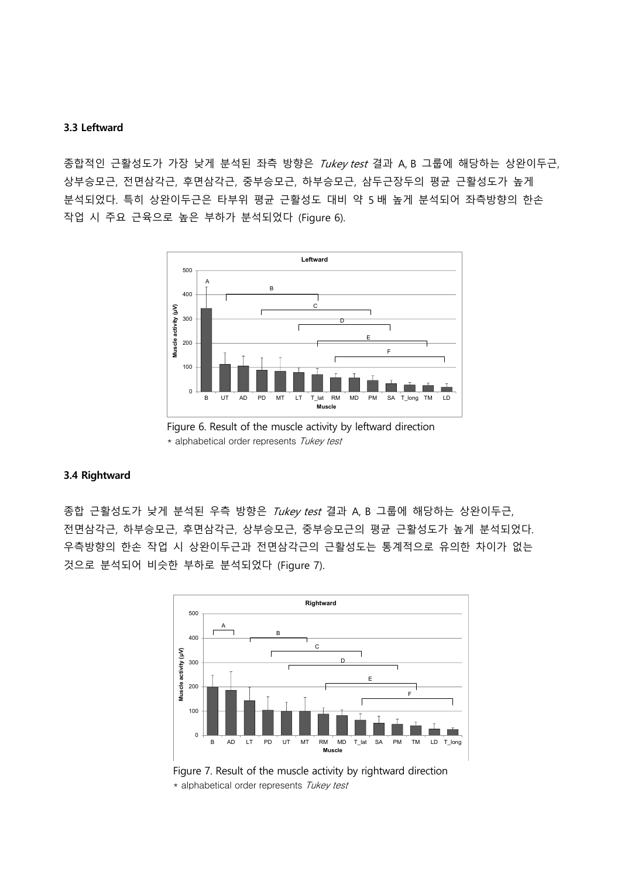### **3.3 Leftward**

종합적인 근활성도가 가장 낮게 분석된 좌측 방향은 Tukey test 결과 A, B 그룹에 해당하는 상완이두근, 상부승모근, 전면삼각근, 후면삼각근, 중부승모근, 하부승모근, 삼두근장두의 평균 근활성도가 높게 분석되었다. 특히 상완이두근은 타부위 평균 근활성도 대비 약 5 배 높게 분석되어 좌측방향의 한손 작업 시 주요 근육으로 높은 부하가 분석되었다 (Figure 6).





## **3.4 Rightward**

종합 근활성도가 낮게 분석된 우측 방향은 Tukey test 결과 A, B 그룹에 해당하는 상완이두근, 전면삼각근, 하부승모근, 후면삼각근, 상부승모근, 중부승모근의 평균 근활성도가 높게 분석되었다. 우측방향의 한손 작업 시 상완이두근과 전면삼각근의 근활성도는 통계적으로 유의한 차이가 없는 것으로 분석되어 비슷한 부하로 분석되었다 (Figure 7).



Figure 7. Result of the muscle activity by rightward direction \* alphabetical order represents Tukey test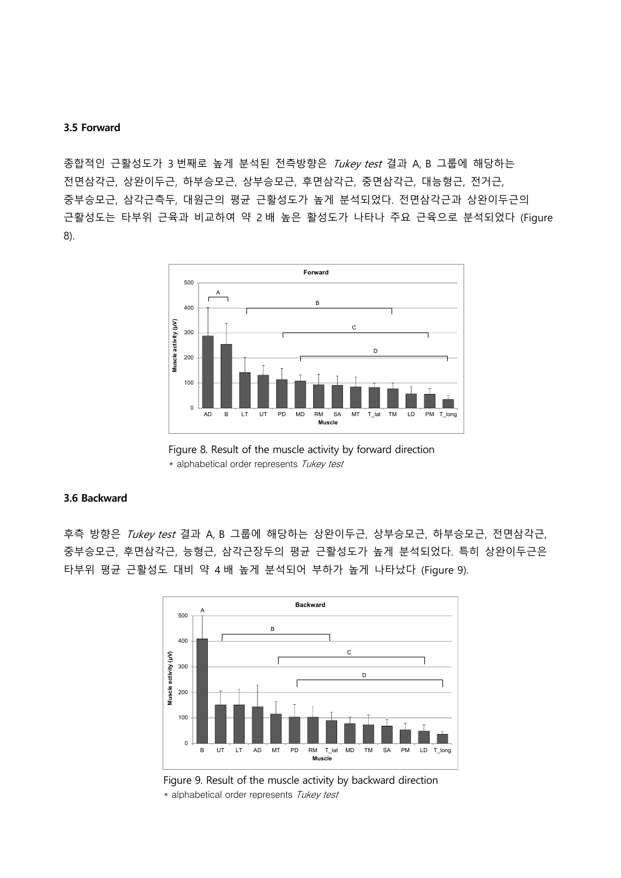#### **3.5 Forward**

종합적인 근활성도가 3 번째로 높게 분석된 전측방향은 Tukey test 결과 A, B 그룹에 해당하는 전면삼각근, 상완이두근, 하부승모근, 상부승모근, 후면삼각근, 중면삼각근, 대능형근, 전거근, 중부승모근, 삼각근측두, 대원근의 평균 근활성도가 높게 분석되었다. 전면삼각근과 상완이두근의 근활성도는 타부위 근육과 비교하여 약 2 배 높은 활성도가 나타나 주요 근육으로 분석되었다 (Figure 8).



Figure 8. Result of the muscle activity by forward direction \* alphabetical order represents Tukey test

### **3.6 Backward**

후측 방향은 Tukey test 결과 A, B 그룹에 해당하는 상완이두근, 상부승모근, 하부승모근, 전면삼각근, 중부승모근, 후면삼각근, 능형근, 삼각근장두의 평균 근활성도가 높게 분석되었다. 특히 상완이두근은 타부위 평균 근활성도 대비 약 4 배 높게 분석되어 부하가 높게 나타났다 (Figure 9).



Figure 9. Result of the muscle activity by backward direction \* alphabetical order represents Tukey test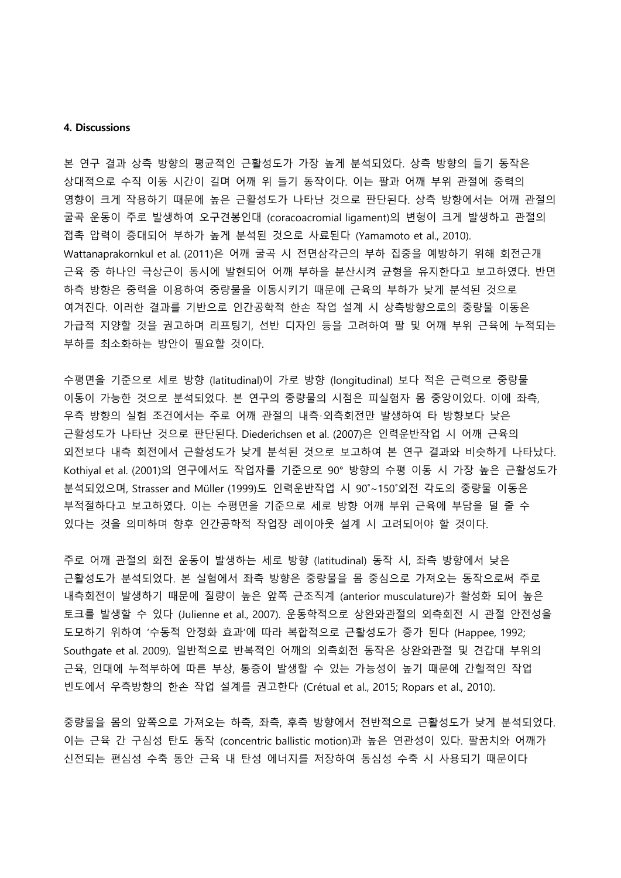#### **4. Discussions**

본 연구 결과 상측 방향의 평균적인 근활성도가 가장 높게 분석되었다. 상측 방향의 들기 동작은 상대적으로 수직 이동 시간이 길며 어깨 위 들기 동작이다. 이는 팔과 어깨 부위 관절에 중력의 영향이 크게 작용하기 때문에 높은 근활성도가 나타난 것으로 판단된다. 상측 방향에서는 어깨 관절의 굴곡 운동이 주로 발생하여 오구견봉인대 (coracoacromial ligament)의 변형이 크게 발생하고 관절의 접촉 압력이 증대되어 부하가 높게 분석된 것으로 사료된다 (Yamamoto et al., 2010). Wattanaprakornkul et al. (2011)은 어깨 굴곡 시 전면삼각근의 부하 집중을 예방하기 위해 회전근개 근육 중 하나인 극상근이 동시에 발현되어 어깨 부하을 분산시켜 균형을 유지한다고 보고하였다. 반면 하측 방향은 중력을 이용하여 중량물을 이동시키기 때문에 근육의 부하가 낮게 분석된 것으로 여겨진다. 이러한 결과를 기반으로 인간공학적 한손 작업 설계 시 상측방향으로의 중량물 이동은 가급적 지양할 것을 권고하며 리프팅기, 선반 디자인 등을 고려하여 팔 및 어깨 부위 근육에 누적되는 부하를 최소화하는 방안이 필요할 것이다.

수평면을 기준으로 세로 방향 (latitudinal)이 가로 방향 (longitudinal) 보다 적은 근력으로 중량물 이동이 가능한 것으로 분석되었다. 본 연구의 중량물의 시점은 피실험자 몸 중앙이었다. 이에 좌측, 우측 방향의 실험 조건에서는 주로 어깨 관절의 내측·외측회전만 발생하여 타 방향보다 낮은 근활성도가 나타난 것으로 판단된다. Diederichsen et al. (2007)은 인력운반작업 시 어깨 근육의 외전보다 내측 회전에서 근활성도가 낮게 분석된 것으로 보고하여 본 연구 결과와 비슷하게 나타났다. Kothiyal et al. (2001)의 연구에서도 작업자를 기준으로 90° 방향의 수평 이동 시 가장 높은 근활성도가 분석되었으며, Strasser and Müller (1999)도 인력운반작업 시 90˚~150˚외전 각도의 중량물 이동은 부적절하다고 보고하였다. 이는 수평면을 기준으로 세로 방향 어깨 부위 근육에 부담을 덜 줄 수 있다는 것을 의미하며 향후 인간공학적 작업장 레이아웃 설계 시 고려되어야 할 것이다.

주로 어깨 관절의 회전 운동이 발생하는 세로 방향 (latitudinal) 동작 시, 좌측 방향에서 낮은 근활성도가 분석되었다. 본 실험에서 좌측 방향은 중량물을 몸 중심으로 가져오는 동작으로써 주로 내측회전이 발생하기 때문에 질량이 높은 앞쪽 근조직계 (anterior musculature)가 활성화 되어 높은 토크를 발생할 수 있다 (Julienne et al., 2007). 운동학적으로 상완와관절의 외측회전 시 관절 안전성을 도모하기 위하여 '수동적 안정화 효과'에 따라 복합적으로 근활성도가 증가 된다 (Happee, 1992; Southgate et al. 2009). 일반적으로 반복적인 어깨의 외측회전 동작은 상완와관절 및 견갑대 부위의 근육, 인대에 누적부하에 따른 부상, 통증이 발생할 수 있는 가능성이 높기 때문에 간헐적인 작업 빈도에서 우측방향의 한손 작업 설계를 권고한다 (Crétual et al., 2015; Ropars et al., 2010).

중량물을 몸의 앞쪽으로 가져오는 하측, 좌측, 후측 방향에서 전반적으로 근활성도가 낮게 분석되었다. 이는 근육 간 구심성 탄도 동작 (concentric ballistic motion)과 높은 연관성이 있다. 팔꿈치와 어깨가 신전되는 편심성 수축 동안 근육 내 탄성 에너지를 저장하여 동심성 수축 시 사용되기 때문이다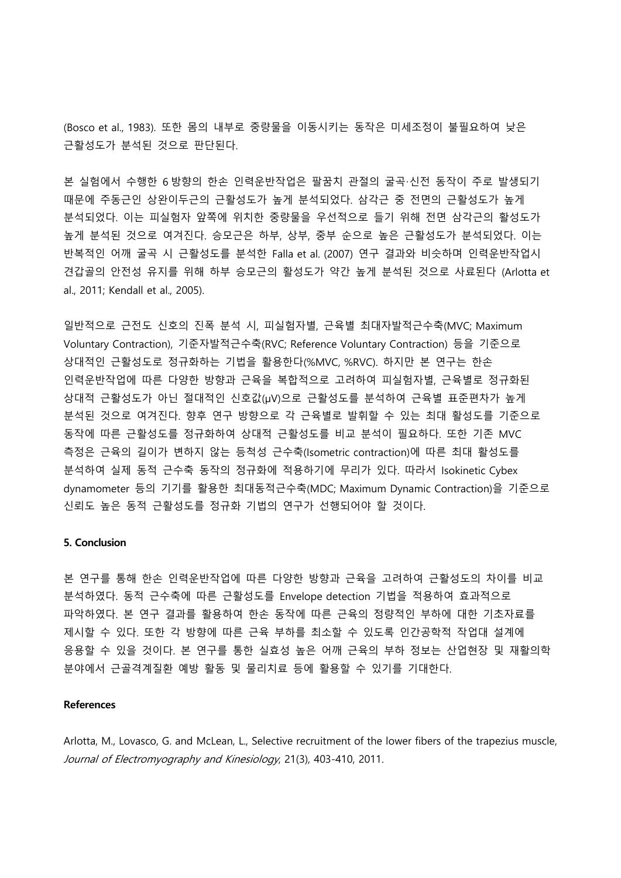(Bosco et al., 1983). 또한 몸의 내부로 중량물을 이동시키는 동작은 미세조정이 불필요하여 낮은 근활성도가 분석된 것으로 판단된다.

본 실험에서 수행한 6 방향의 한손 인력운반작업은 팔꿈치 관절의 굴곡·신전 동작이 주로 발생되기 때문에 주동근인 상완이두근의 근활성도가 높게 분석되었다. 삼각근 중 전면의 근활성도가 높게 분석되었다. 이는 피실험자 앞쪽에 위치한 중량물을 우선적으로 들기 위해 전면 삼각근의 활성도가 높게 분석된 것으로 여겨진다. 승모근은 하부, 상부, 중부 순으로 높은 근활성도가 분석되었다. 이는 반복적인 어깨 굴곡 시 근활성도를 분석한 Falla et al. (2007) 연구 결과와 비슷하며 인력운반작업시 견갑골의 안전성 유지를 위해 하부 승모근의 활성도가 약간 높게 분석된 것으로 사료된다 (Arlotta et al., 2011; Kendall et al., 2005).

일반적으로 근전도 신호의 진폭 분석 시, 피실험자별, 근육별 최대자발적근수축(MVC; Maximum Voluntary Contraction), 기준자발적근수축(RVC; Reference Voluntary Contraction) 등을 기준으로 상대적인 근활성도로 정규화하는 기법을 활용한다(%MVC, %RVC). 하지만 본 연구는 한손 인력운반작업에 따른 다양한 방향과 근육을 복합적으로 고려하여 피실험자별, 근육별로 정규화된 상대적 근활성도가 아닌 절대적인 신호값(μV)으로 근활성도를 분석하여 근육별 표준편차가 높게 분석된 것으로 여겨진다. 향후 연구 방향으로 각 근육별로 발휘할 수 있는 최대 활성도를 기준으로 동작에 따른 근활성도를 정규화하여 상대적 근활성도를 비교 분석이 필요하다. 또한 기존 MVC 측정은 근육의 길이가 변하지 않는 등척성 근수축(Isometric contraction)에 따른 최대 활성도를 분석하여 실제 동적 근수축 동작의 정규화에 적용하기에 무리가 있다. 따라서 Isokinetic Cybex dynamometer 등의 기기를 활용한 최대동적근수축(MDC; Maximum Dynamic Contraction)을 기준으로 신뢰도 높은 동적 근활성도를 정규화 기법의 연구가 선행되어야 할 것이다.

### **5. Conclusion**

본 연구를 통해 한손 인력운반작업에 따른 다양한 방향과 근육을 고려하여 근활성도의 차이를 비교 분석하였다. 동적 근수축에 따른 근활성도를 Envelope detection 기법을 적용하여 효과적으로 파악하였다. 본 연구 결과를 활용하여 한손 동작에 따른 근육의 정량적인 부하에 대한 기초자료를 제시할 수 있다. 또한 각 방향에 따른 근육 부하를 최소할 수 있도록 인간공학적 작업대 설계에 응용할 수 있을 것이다. 본 연구를 통한 실효성 높은 어깨 근육의 부하 정보는 산업현장 및 재활의학 분야에서 근골격계질환 예방 활동 및 물리치료 등에 활용할 수 있기를 기대한다.

#### **References**

Arlotta, M., Lovasco, G. and McLean, L., Selective recruitment of the lower fibers of the trapezius muscle, Journal of Electromyography and Kinesiology, 21(3), 403-410, 2011.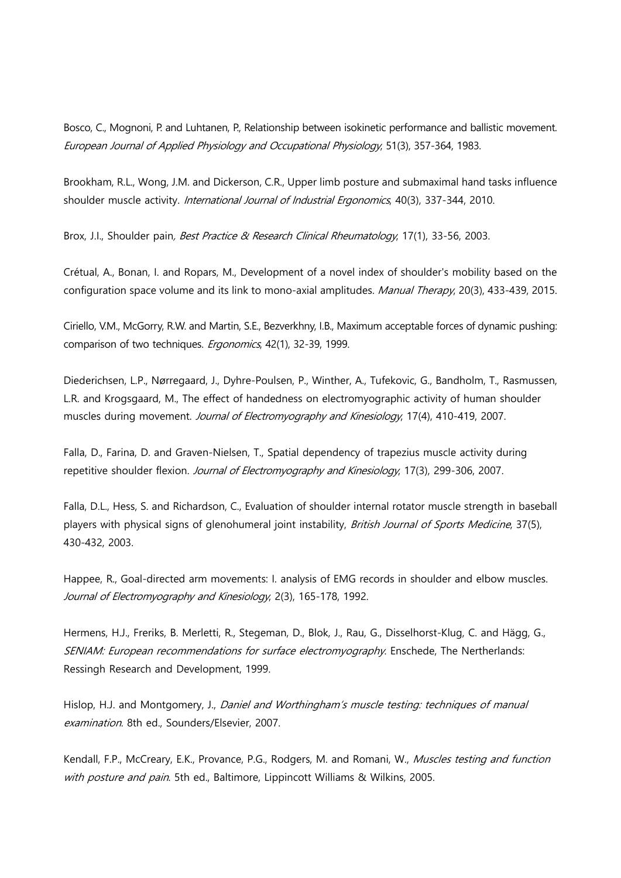Bosco, C., Mognoni, P. and Luhtanen, P., Relationship between isokinetic performance and ballistic movement. European Journal of Applied Physiology and Occupational Physiology, 51(3), 357-364, 1983.

Brookham, R.L., Wong, J.M. and Dickerson, C.R., Upper limb posture and submaximal hand tasks influence shoulder muscle activity. International Journal of Industrial Ergonomics, 40(3), 337-344, 2010.

Brox, J.I., Shoulder pain, *Best Practice & Research Clinical Rheumatology*, 17(1), 33-56, 2003.

Crétual, A., Bonan, I. and Ropars, M., Development of a novel index of shoulder's mobility based on the configuration space volume and its link to mono-axial amplitudes. Manual Therapy, 20(3), 433-439, 2015.

Ciriello, V.M., McGorry, R.W. and Martin, S.E., Bezverkhny, I.B., Maximum acceptable forces of dynamic pushing: comparison of two techniques. Ergonomics, 42(1), 32-39, 1999.

Diederichsen, L.P., Nørregaard, J., Dyhre-Poulsen, P., Winther, A., Tufekovic, G., Bandholm, T., Rasmussen, L.R. and Krogsgaard, M., The effect of handedness on electromyographic activity of human shoulder muscles during movement. Journal of Electromyography and Kinesiology, 17(4), 410-419, 2007.

Falla, D., Farina, D. and Graven-Nielsen, T., Spatial dependency of trapezius muscle activity during repetitive shoulder flexion. Journal of Electromyography and Kinesiology, 17(3), 299-306, 2007.

Falla, D.L., Hess, S. and Richardson, C., Evaluation of shoulder internal rotator muscle strength in baseball players with physical signs of glenohumeral joint instability, British Journal of Sports Medicine, 37(5), 430-432, 2003.

Happee, R., Goal-directed arm movements: I. analysis of EMG records in shoulder and elbow muscles. Journal of Electromyography and Kinesiology, 2(3), 165-178, 1992.

Hermens, H.J., Freriks, B. Merletti, R., Stegeman, D., Blok, J., Rau, G., Disselhorst-Klug, C. and Hägg, G., SENIAM: European recommendations for surface electromyography. Enschede, The Nertherlands: Ressingh Research and Development, 1999.

Hislop, H.J. and Montgomery, J., Daniel and Worthingham's muscle testing: techniques of manual examination. 8th ed., Sounders/Elsevier, 2007.

Kendall, F.P., McCreary, E.K., Provance, P.G., Rodgers, M. and Romani, W., Muscles testing and function with posture and pain. 5th ed., Baltimore, Lippincott Williams & Wilkins, 2005.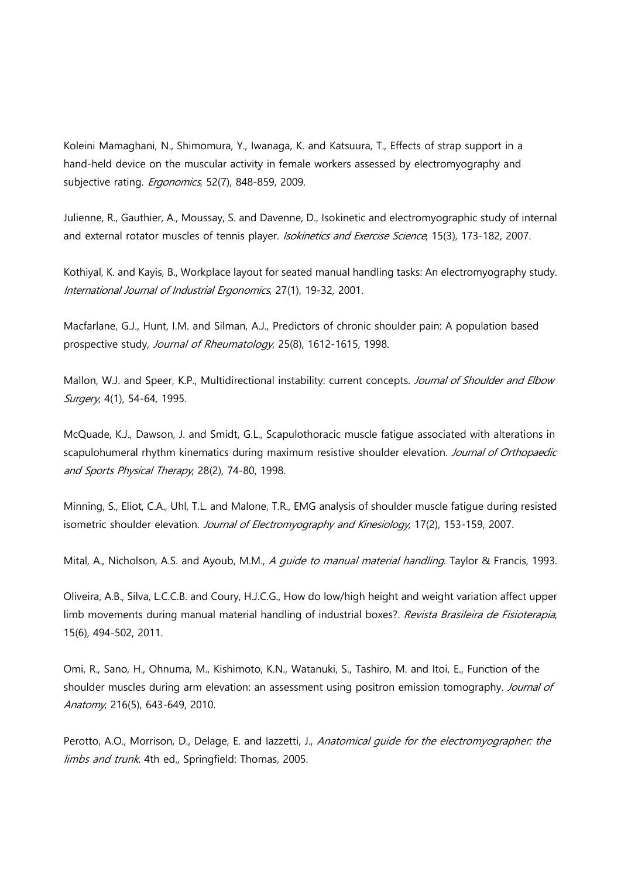Koleini Mamaghani, N., Shimomura, Y., Iwanaga, K. and Katsuura, T., Effects of strap support in a hand-held device on the muscular activity in female workers assessed by electromyography and subjective rating. *Ergonomics*, 52(7), 848-859, 2009.

Julienne, R., Gauthier, A., Moussay, S. and Davenne, D., Isokinetic and electromyographic study of internal and external rotator muscles of tennis player. Isokinetics and Exercise Science, 15(3), 173-182, 2007.

Kothiyal, K. and Kayis, B., Workplace layout for seated manual handling tasks: An electromyography study. International Journal of Industrial Ergonomics, 27(1), 19-32, 2001.

Macfarlane, G.J., Hunt, I.M. and Silman, A.J., Predictors of chronic shoulder pain: A population based prospective study, Journal of Rheumatology, 25(8), 1612-1615, 1998.

Mallon, W.J. and Speer, K.P., Multidirectional instability: current concepts. Journal of Shoulder and Elbow Surgery, 4(1), 54-64, 1995.

McQuade, K.J., Dawson, J. and Smidt, G.L., Scapulothoracic muscle fatigue associated with alterations in scapulohumeral rhythm kinematics during maximum resistive shoulder elevation. Journal of Orthopaedic and Sports Physical Therapy, 28(2), 74-80, 1998.

Minning, S., Eliot, C.A., Uhl, T.L. and Malone, T.R., EMG analysis of shoulder muscle fatigue during resisted isometric shoulder elevation. Journal of Electromyography and Kinesiology, 17(2), 153-159, 2007.

Mital, A., Nicholson, A.S. and Ayoub, M.M., A quide to manual material handling. Taylor & Francis, 1993.

Oliveira, A.B., Silva, L.C.C.B. and Coury, H.J.C.G., How do low/high height and weight variation affect upper limb movements during manual material handling of industrial boxes?. Revista Brasileira de Fisioterapia, 15(6), 494-502, 2011.

Omi, R., Sano, H., Ohnuma, M., Kishimoto, K.N., Watanuki, S., Tashiro, M. and Itoi, E., Function of the shoulder muscles during arm elevation: an assessment using positron emission tomography. Journal of Anatomy, 216(5), 643-649, 2010.

Perotto, A.O., Morrison, D., Delage, E. and lazzetti, J., Anatomical guide for the electromyographer: the limbs and trunk. 4th ed., Springfield: Thomas, 2005.